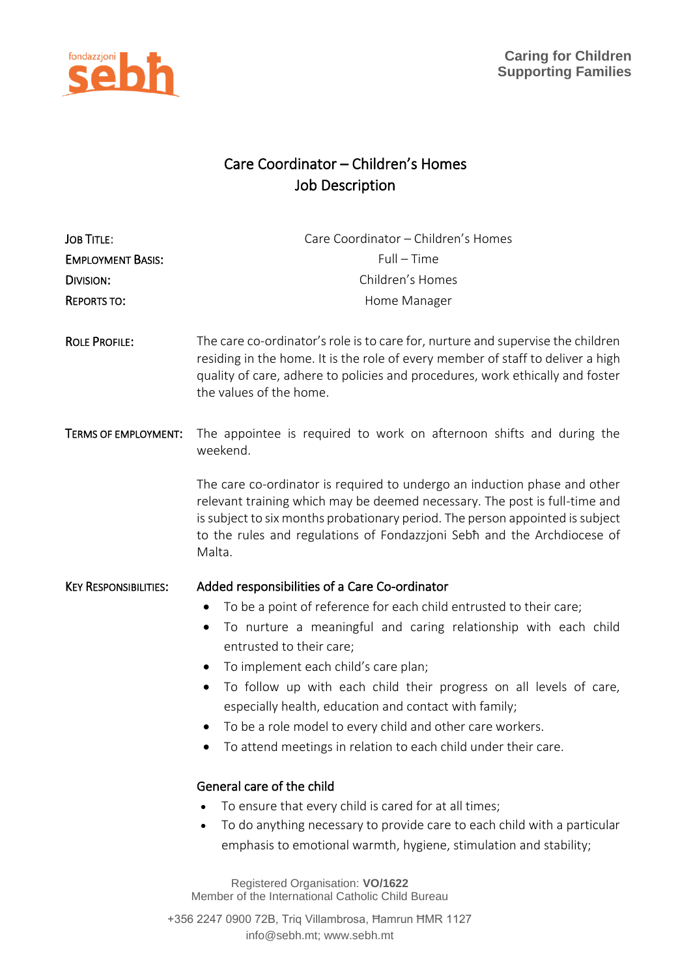



## Care Coordinator – Children's Homes Job Description

| <b>JOB TITLE:</b><br><b>EMPLOYMENT BASIS:</b><br><b>DIVISION:</b><br><b>REPORTS TO:</b> | Care Coordinator - Children's Homes<br>$Full - Time$<br>Children's Homes<br>Home Manager                                                                                                                                                                                                                                                                                                                                                                                                                                                                                                                                                                                                                                                                                          |
|-----------------------------------------------------------------------------------------|-----------------------------------------------------------------------------------------------------------------------------------------------------------------------------------------------------------------------------------------------------------------------------------------------------------------------------------------------------------------------------------------------------------------------------------------------------------------------------------------------------------------------------------------------------------------------------------------------------------------------------------------------------------------------------------------------------------------------------------------------------------------------------------|
| <b>ROLE PROFILE:</b>                                                                    | The care co-ordinator's role is to care for, nurture and supervise the children<br>residing in the home. It is the role of every member of staff to deliver a high<br>quality of care, adhere to policies and procedures, work ethically and foster<br>the values of the home.                                                                                                                                                                                                                                                                                                                                                                                                                                                                                                    |
| <b>TERMS OF EMPLOYMENT:</b>                                                             | The appointee is required to work on afternoon shifts and during the<br>weekend.                                                                                                                                                                                                                                                                                                                                                                                                                                                                                                                                                                                                                                                                                                  |
|                                                                                         | The care co-ordinator is required to undergo an induction phase and other<br>relevant training which may be deemed necessary. The post is full-time and<br>is subject to six months probationary period. The person appointed is subject<br>to the rules and regulations of Fondazzjoni Sebh and the Archdiocese of<br>Malta.                                                                                                                                                                                                                                                                                                                                                                                                                                                     |
| <b>KEY RESPONSIBILITIES:</b>                                                            | Added responsibilities of a Care Co-ordinator<br>To be a point of reference for each child entrusted to their care;<br>To nurture a meaningful and caring relationship with each child<br>entrusted to their care;<br>To implement each child's care plan;<br>$\bullet$<br>To follow up with each child their progress on all levels of care,<br>٠<br>especially health, education and contact with family;<br>To be a role model to every child and other care workers.<br>To attend meetings in relation to each child under their care.<br>General care of the child<br>To ensure that every child is cared for at all times;<br>To do anything necessary to provide care to each child with a particular<br>emphasis to emotional warmth, hygiene, stimulation and stability; |
|                                                                                         | Registered Organisation: VO/1622<br>Member of the International Catholic Child Bureau                                                                                                                                                                                                                                                                                                                                                                                                                                                                                                                                                                                                                                                                                             |

+356 2247 0900 72B, Triq Villambrosa, Ħamrun ĦMR 1127 info@sebh.mt; www.sebh.mt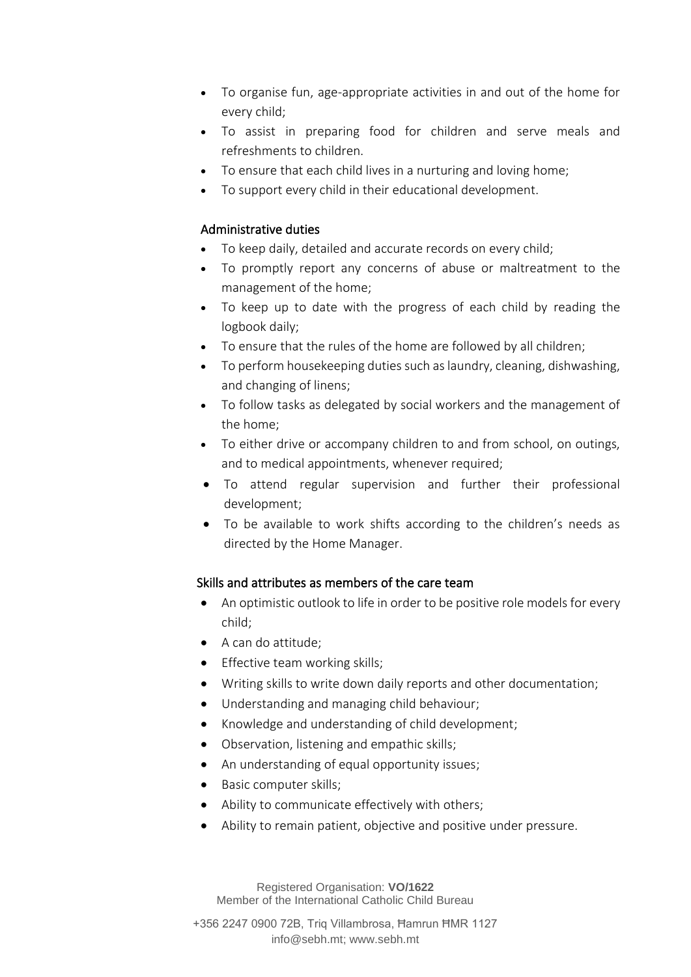- To organise fun, age-appropriate activities in and out of the home for every child;
- To assist in preparing food for children and serve meals and refreshments to children.
- To ensure that each child lives in a nurturing and loving home;
- To support every child in their educational development.

## Administrative duties

- To keep daily, detailed and accurate records on every child;
- To promptly report any concerns of abuse or maltreatment to the management of the home;
- To keep up to date with the progress of each child by reading the logbook daily;
- To ensure that the rules of the home are followed by all children;
- To perform housekeeping duties such as laundry, cleaning, dishwashing, and changing of linens;
- To follow tasks as delegated by social workers and the management of the home;
- To either drive or accompany children to and from school, on outings, and to medical appointments, whenever required;
- To attend regular supervision and further their professional development;
- To be available to work shifts according to the children's needs as directed by the Home Manager.

## Skills and attributes as members of the care team

- An optimistic outlook to life in order to be positive role models for every child;
- A can do attitude;
- Effective team working skills;
- Writing skills to write down daily reports and other documentation;
- Understanding and managing child behaviour;
- Knowledge and understanding of child development;
- Observation, listening and empathic skills;
- An understanding of equal opportunity issues;
- Basic computer skills;
- Ability to communicate effectively with others;
- Ability to remain patient, objective and positive under pressure.

Registered Organisation: **VO/1622** Member of the International Catholic Child Bureau

+356 2247 0900 72B, Triq Villambrosa, Ħamrun ĦMR 1127 info@sebh.mt; www.sebh.mt